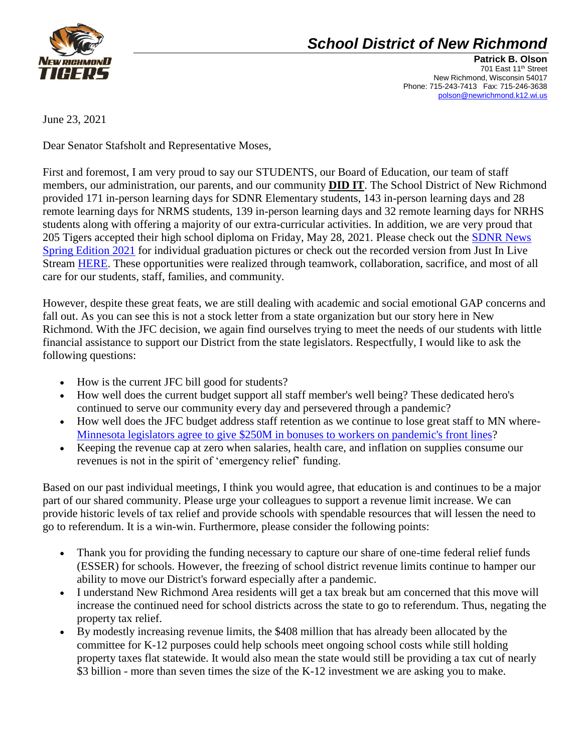

## *School District of New Richmond*

**Patrick B. Olson** 701 East 11<sup>th</sup> Street New Richmond, Wisconsin 54017 Phone: 715-243-7413 Fax: 715-246-3638 [polson@newrichmond.k12.wi.us](mailto:polson@newrichmond.k12.wi.us)

June 23, 2021

Dear Senator Stafsholt and Representative Moses,

First and foremost, I am very proud to say our STUDENTS, our Board of Education, our team of staff members, our administration, our parents, and our community **DID IT**. The School District of New Richmond provided 171 in-person learning days for SDNR Elementary students, 143 in-person learning days and 28 remote learning days for NRMS students, 139 in-person learning days and 32 remote learning days for NRHS students along with offering a majority of our extra-curricular activities. In addition, we are very proud that 205 Tigers accepted their high school diploma on Friday, May 28, 2021. Please check out the [SDNR News](https://drive.google.com/file/d/1qaNS1hYxRJLxoC6dCXhVGwKaozcKmlnH/view?usp=sharing)  [Spring Edition 2021](https://drive.google.com/file/d/1qaNS1hYxRJLxoC6dCXhVGwKaozcKmlnH/view?usp=sharing) for individual graduation pictures or check out the recorded version from Just In Live Stream [HERE.](https://c.streamhoster.com/embed/media/W6sdCX/xixt1p2smO9/imFINlsY8Vh_1?preview=1) These opportunities were realized through teamwork, collaboration, sacrifice, and most of all care for our students, staff, families, and community.

However, despite these great feats, we are still dealing with academic and social emotional GAP concerns and fall out. As you can see this is not a stock letter from a state organization but our story here in New Richmond. With the JFC decision, we again find ourselves trying to meet the needs of our students with little financial assistance to support our District from the state legislators. Respectfully, I would like to ask the following questions:

- How is the current JFC bill good for students?
- How well does the current budget support all staff member's well being? These dedicated hero's continued to serve our community every day and persevered through a pandemic?
- How well does the JFC budget address staff retention as we continue to lose great staff to MN where-[Minnesota legislators agree to give \\$250M in bonuses to workers on pandemic's front lines?](https://www.startribune.com/minnesota-legislators-agree-to-give-250m-in-bonuses-to-workers-on-pandemic-s-front-lines/600070973/)
- Keeping the revenue cap at zero when salaries, health care, and inflation on supplies consume our revenues is not in the spirit of 'emergency relief' funding.

Based on our past individual meetings, I think you would agree, that education is and continues to be a major part of our shared community. Please urge your colleagues to support a revenue limit increase. We can provide historic levels of tax relief and provide schools with spendable resources that will lessen the need to go to referendum. It is a win-win. Furthermore, please consider the following points:

- Thank you for providing the funding necessary to capture our share of one-time federal relief funds (ESSER) for schools. However, the freezing of school district revenue limits continue to hamper our ability to move our District's forward especially after a pandemic.
- I understand New Richmond Area residents will get a tax break but am concerned that this move will increase the continued need for school districts across the state to go to referendum. Thus, negating the property tax relief.
- By modestly increasing revenue limits, the \$408 million that has already been allocated by the committee for K-12 purposes could help schools meet ongoing school costs while still holding property taxes flat statewide. It would also mean the state would still be providing a tax cut of nearly \$3 billion - more than seven times the size of the K-12 investment we are asking you to make.